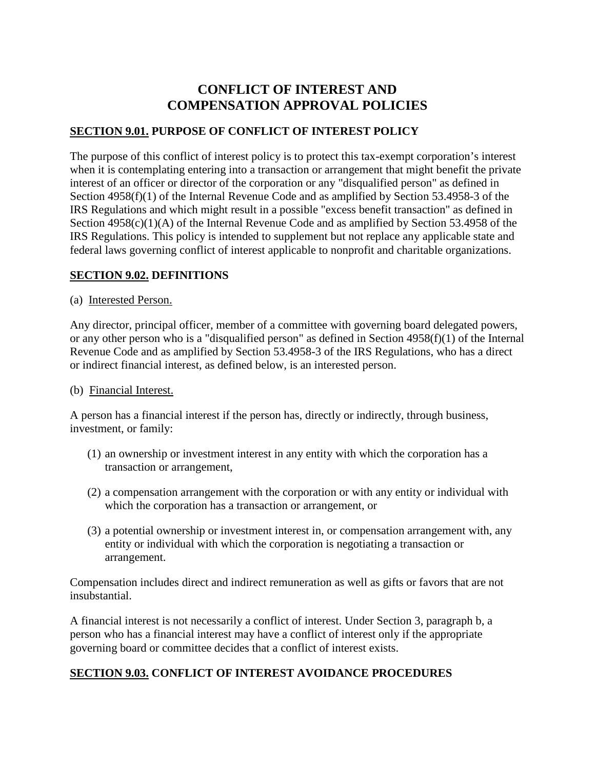# **CONFLICT OF INTEREST AND COMPENSATION APPROVAL POLICIES**

### **SECTION 9.01. PURPOSE OF CONFLICT OF INTEREST POLICY**

The purpose of this conflict of interest policy is to protect this tax-exempt corporation's interest when it is contemplating entering into a transaction or arrangement that might benefit the private interest of an officer or director of the corporation or any "disqualified person" as defined in Section 4958(f)(1) of the Internal Revenue Code and as amplified by Section 53.4958-3 of the IRS Regulations and which might result in a possible "excess benefit transaction" as defined in Section 4958(c)(1)(A) of the Internal Revenue Code and as amplified by Section 53.4958 of the IRS Regulations. This policy is intended to supplement but not replace any applicable state and federal laws governing conflict of interest applicable to nonprofit and charitable organizations.

### **SECTION 9.02. DEFINITIONS**

#### (a) Interested Person.

Any director, principal officer, member of a committee with governing board delegated powers, or any other person who is a "disqualified person" as defined in Section 4958(f)(1) of the Internal Revenue Code and as amplified by Section 53.4958-3 of the IRS Regulations, who has a direct or indirect financial interest, as defined below, is an interested person.

#### (b) Financial Interest.

A person has a financial interest if the person has, directly or indirectly, through business, investment, or family:

- (1) an ownership or investment interest in any entity with which the corporation has a transaction or arrangement,
- (2) a compensation arrangement with the corporation or with any entity or individual with which the corporation has a transaction or arrangement, or
- (3) a potential ownership or investment interest in, or compensation arrangement with, any entity or individual with which the corporation is negotiating a transaction or arrangement.

Compensation includes direct and indirect remuneration as well as gifts or favors that are not insubstantial.

A financial interest is not necessarily a conflict of interest. Under Section 3, paragraph b, a person who has a financial interest may have a conflict of interest only if the appropriate governing board or committee decides that a conflict of interest exists.

### **SECTION 9.03. CONFLICT OF INTEREST AVOIDANCE PROCEDURES**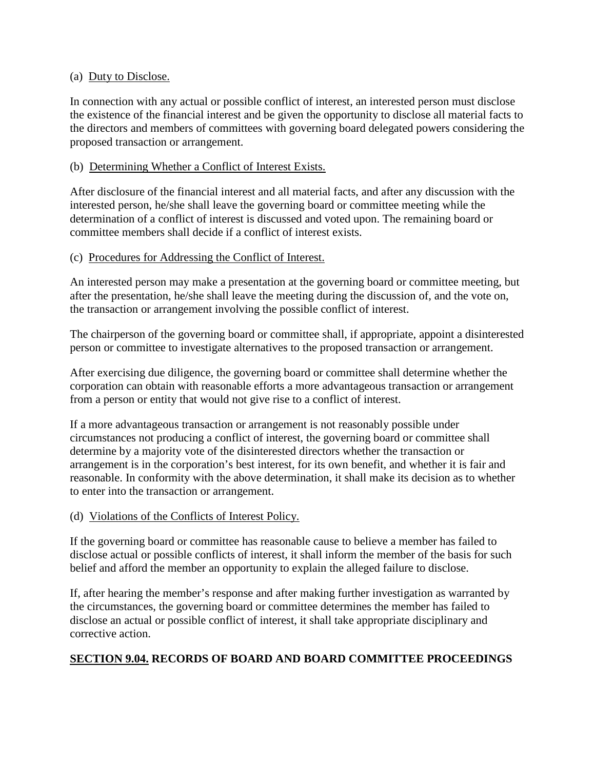#### (a) Duty to Disclose.

In connection with any actual or possible conflict of interest, an interested person must disclose the existence of the financial interest and be given the opportunity to disclose all material facts to the directors and members of committees with governing board delegated powers considering the proposed transaction or arrangement.

#### (b) Determining Whether a Conflict of Interest Exists.

After disclosure of the financial interest and all material facts, and after any discussion with the interested person, he/she shall leave the governing board or committee meeting while the determination of a conflict of interest is discussed and voted upon. The remaining board or committee members shall decide if a conflict of interest exists.

#### (c) Procedures for Addressing the Conflict of Interest.

An interested person may make a presentation at the governing board or committee meeting, but after the presentation, he/she shall leave the meeting during the discussion of, and the vote on, the transaction or arrangement involving the possible conflict of interest.

The chairperson of the governing board or committee shall, if appropriate, appoint a disinterested person or committee to investigate alternatives to the proposed transaction or arrangement.

After exercising due diligence, the governing board or committee shall determine whether the corporation can obtain with reasonable efforts a more advantageous transaction or arrangement from a person or entity that would not give rise to a conflict of interest.

If a more advantageous transaction or arrangement is not reasonably possible under circumstances not producing a conflict of interest, the governing board or committee shall determine by a majority vote of the disinterested directors whether the transaction or arrangement is in the corporation's best interest, for its own benefit, and whether it is fair and reasonable. In conformity with the above determination, it shall make its decision as to whether to enter into the transaction or arrangement.

#### (d) Violations of the Conflicts of Interest Policy.

If the governing board or committee has reasonable cause to believe a member has failed to disclose actual or possible conflicts of interest, it shall inform the member of the basis for such belief and afford the member an opportunity to explain the alleged failure to disclose.

If, after hearing the member's response and after making further investigation as warranted by the circumstances, the governing board or committee determines the member has failed to disclose an actual or possible conflict of interest, it shall take appropriate disciplinary and corrective action.

### **SECTION 9.04. RECORDS OF BOARD AND BOARD COMMITTEE PROCEEDINGS**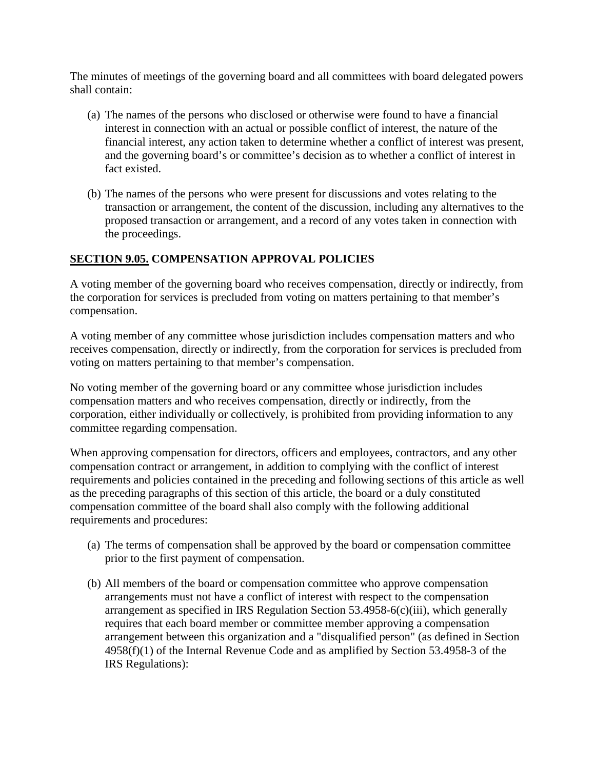The minutes of meetings of the governing board and all committees with board delegated powers shall contain:

- (a) The names of the persons who disclosed or otherwise were found to have a financial interest in connection with an actual or possible conflict of interest, the nature of the financial interest, any action taken to determine whether a conflict of interest was present, and the governing board's or committee's decision as to whether a conflict of interest in fact existed.
- (b) The names of the persons who were present for discussions and votes relating to the transaction or arrangement, the content of the discussion, including any alternatives to the proposed transaction or arrangement, and a record of any votes taken in connection with the proceedings.

### **SECTION 9.05. COMPENSATION APPROVAL POLICIES**

A voting member of the governing board who receives compensation, directly or indirectly, from the corporation for services is precluded from voting on matters pertaining to that member's compensation.

A voting member of any committee whose jurisdiction includes compensation matters and who receives compensation, directly or indirectly, from the corporation for services is precluded from voting on matters pertaining to that member's compensation.

No voting member of the governing board or any committee whose jurisdiction includes compensation matters and who receives compensation, directly or indirectly, from the corporation, either individually or collectively, is prohibited from providing information to any committee regarding compensation.

When approving compensation for directors, officers and employees, contractors, and any other compensation contract or arrangement, in addition to complying with the conflict of interest requirements and policies contained in the preceding and following sections of this article as well as the preceding paragraphs of this section of this article, the board or a duly constituted compensation committee of the board shall also comply with the following additional requirements and procedures:

- (a) The terms of compensation shall be approved by the board or compensation committee prior to the first payment of compensation.
- (b) All members of the board or compensation committee who approve compensation arrangements must not have a conflict of interest with respect to the compensation arrangement as specified in IRS Regulation Section 53.4958-6(c)(iii), which generally requires that each board member or committee member approving a compensation arrangement between this organization and a "disqualified person" (as defined in Section 4958(f)(1) of the Internal Revenue Code and as amplified by Section 53.4958-3 of the IRS Regulations):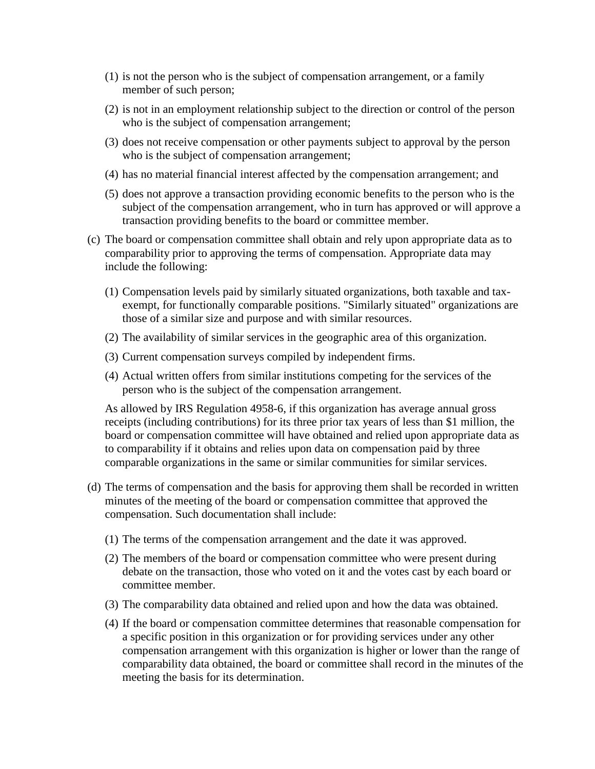- (1) is not the person who is the subject of compensation arrangement, or a family member of such person;
- (2) is not in an employment relationship subject to the direction or control of the person who is the subject of compensation arrangement;
- (3) does not receive compensation or other payments subject to approval by the person who is the subject of compensation arrangement;
- (4) has no material financial interest affected by the compensation arrangement; and
- (5) does not approve a transaction providing economic benefits to the person who is the subject of the compensation arrangement, who in turn has approved or will approve a transaction providing benefits to the board or committee member.
- (c) The board or compensation committee shall obtain and rely upon appropriate data as to comparability prior to approving the terms of compensation. Appropriate data may include the following:
	- (1) Compensation levels paid by similarly situated organizations, both taxable and taxexempt, for functionally comparable positions. "Similarly situated" organizations are those of a similar size and purpose and with similar resources.
	- (2) The availability of similar services in the geographic area of this organization.
	- (3) Current compensation surveys compiled by independent firms.
	- (4) Actual written offers from similar institutions competing for the services of the person who is the subject of the compensation arrangement.

As allowed by IRS Regulation 4958-6, if this organization has average annual gross receipts (including contributions) for its three prior tax years of less than \$1 million, the board or compensation committee will have obtained and relied upon appropriate data as to comparability if it obtains and relies upon data on compensation paid by three comparable organizations in the same or similar communities for similar services.

- (d) The terms of compensation and the basis for approving them shall be recorded in written minutes of the meeting of the board or compensation committee that approved the compensation. Such documentation shall include:
	- (1) The terms of the compensation arrangement and the date it was approved.
	- (2) The members of the board or compensation committee who were present during debate on the transaction, those who voted on it and the votes cast by each board or committee member.
	- (3) The comparability data obtained and relied upon and how the data was obtained.
	- (4) If the board or compensation committee determines that reasonable compensation for a specific position in this organization or for providing services under any other compensation arrangement with this organization is higher or lower than the range of comparability data obtained, the board or committee shall record in the minutes of the meeting the basis for its determination.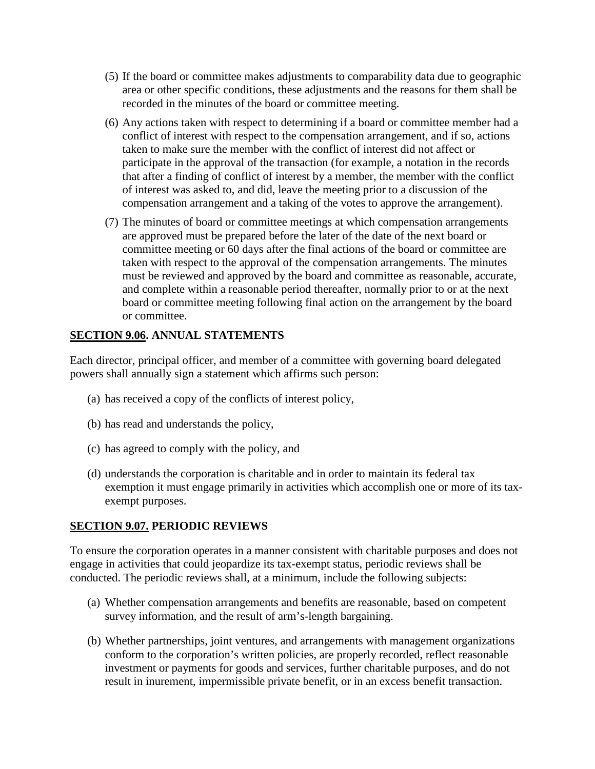- (5) If the board or committee makes adjustments to comparability data due to geographic area or other specific conditions, these adjustments and the reasons for them shall be recorded in the minutes of the board or committee meeting.
- (6) Any actions taken with respect to determining if a board or committee member had a conflict of interest with respect to the compensation arrangement, and if so, actions taken to make sure the member with the conflict of interest did not affect or participate in the approval of the transaction (for example, a notation in the records that after a finding of conflict of interest by a member, the member with the conflict of interest was asked to, and did, leave the meeting prior to a discussion of the compensation arrangement and a taking of the votes to approve the arrangement).
- (7) The minutes of board or committee meetings at which compensation arrangements are approved must be prepared before the later of the date of the next board or committee meeting or 60 days after the final actions of the board or committee are taken with respect to the approval of the compensation arrangements. The minutes must be reviewed and approved by the board and committee as reasonable, accurate, and complete within a reasonable period thereafter, normally prior to or at the next board or committee meeting following final action on the arrangement by the board or committee.

### **SECTION 9.06. ANNUAL STATEMENTS**

Each director, principal officer, and member of a committee with governing board delegated powers shall annually sign a statement which affirms such person:

- (a) has received a copy of the conflicts of interest policy,
- (b) has read and understands the policy,
- (c) has agreed to comply with the policy, and
- (d) understands the corporation is charitable and in order to maintain its federal tax exemption it must engage primarily in activities which accomplish one or more of its taxexempt purposes.

### **SECTION 9.07. PERIODIC REVIEWS**

To ensure the corporation operates in a manner consistent with charitable purposes and does not engage in activities that could jeopardize its tax-exempt status, periodic reviews shall be conducted. The periodic reviews shall, at a minimum, include the following subjects:

- (a) Whether compensation arrangements and benefits are reasonable, based on competent survey information, and the result of arm's-length bargaining.
- (b) Whether partnerships, joint ventures, and arrangements with management organizations conform to the corporation's written policies, are properly recorded, reflect reasonable investment or payments for goods and services, further charitable purposes, and do not result in inurement, impermissible private benefit, or in an excess benefit transaction.